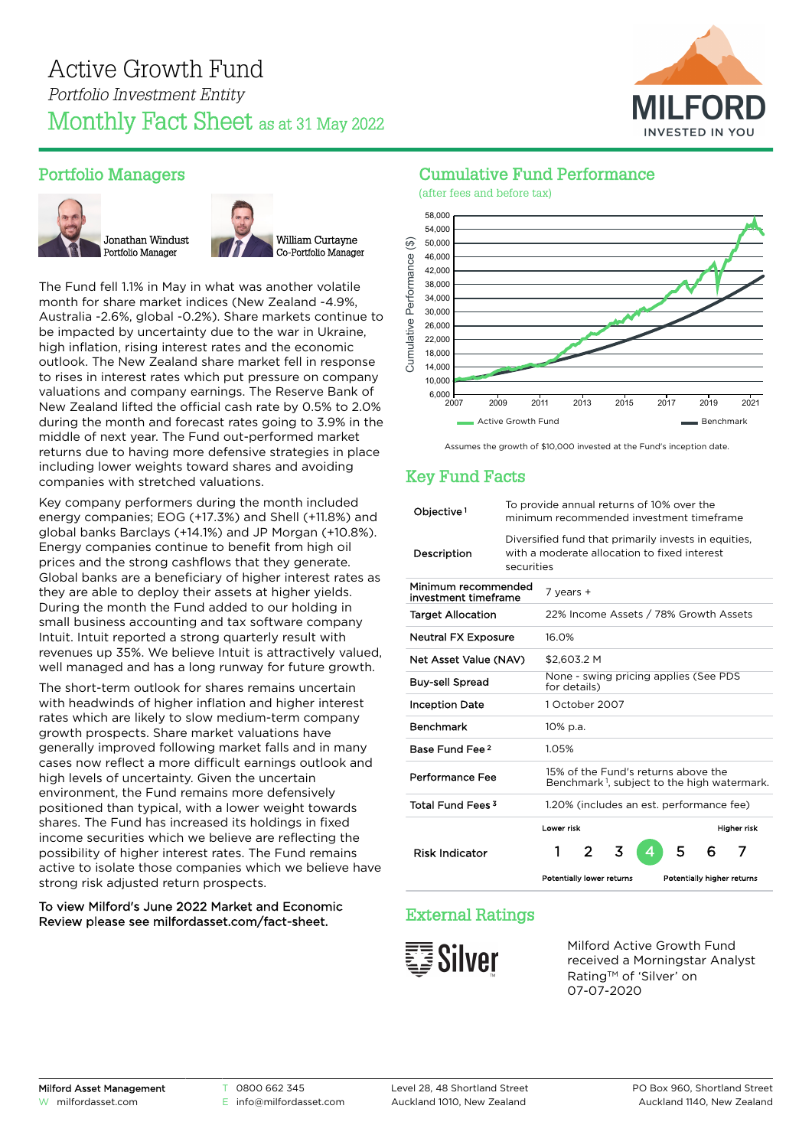

## Portfolio Managers





The Fund fell 1.1% in May in what was another volatile month for share market indices (New Zealand -4.9%, Australia -2.6%, global -0.2%). Share markets continue to be impacted by uncertainty due to the war in Ukraine, high inflation, rising interest rates and the economic outlook. The New Zealand share market fell in response to rises in interest rates which put pressure on company valuations and company earnings. The Reserve Bank of New Zealand lifted the official cash rate by 0.5% to 2.0% during the month and forecast rates going to 3.9% in the middle of next year. The Fund out-performed market returns due to having more defensive strategies in place including lower weights toward shares and avoiding companies with stretched valuations.

Key company performers during the month included energy companies; EOG (+17.3%) and Shell (+11.8%) and global banks Barclays (+14.1%) and JP Morgan (+10.8%). Energy companies continue to benefit from high oil prices and the strong cashflows that they generate. Global banks are a beneficiary of higher interest rates as they are able to deploy their assets at higher yields. During the month the Fund added to our holding in small business accounting and tax software company Intuit. Intuit reported a strong quarterly result with revenues up 35%. We believe Intuit is attractively valued, well managed and has a long runway for future growth.

The short-term outlook for shares remains uncertain with headwinds of higher inflation and higher interest rates which are likely to slow medium-term company growth prospects. Share market valuations have generally improved following market falls and in many cases now reflect a more difficult earnings outlook and high levels of uncertainty. Given the uncertain environment, the Fund remains more defensively positioned than typical, with a lower weight towards shares. The Fund has increased its holdings in fixed income securities which we believe are reflecting the possibility of higher interest rates. The Fund remains active to isolate those companies which we believe have strong risk adjusted return prospects.

#### To view Milford's June 2022 Market and Economic Review please see [milfordasset.com/fact-sheet](https://milfordasset.com/wp-content/uploads/2022/06/Market-and-Economic-Review-June-2022.pdf).

#### Cumulative Fund Performance



Assumes the growth of \$10,000 invested at the Fund's inception date.

### Key Fund Facts

| Objective <sup>1</sup>                      | To provide annual returns of 10% over the<br>minimum recommended investment timeframe                              |                                                                                                |                                          |                                                       |   |   |   |                            |  |
|---------------------------------------------|--------------------------------------------------------------------------------------------------------------------|------------------------------------------------------------------------------------------------|------------------------------------------|-------------------------------------------------------|---|---|---|----------------------------|--|
| Description                                 | Diversified fund that primarily invests in equities,<br>with a moderate allocation to fixed interest<br>securities |                                                                                                |                                          |                                                       |   |   |   |                            |  |
| Minimum recommended<br>investment timeframe |                                                                                                                    | 7 years +                                                                                      |                                          |                                                       |   |   |   |                            |  |
| <b>Target Allocation</b>                    |                                                                                                                    | 22% Income Assets / 78% Growth Assets                                                          |                                          |                                                       |   |   |   |                            |  |
| Neutral FX Exposure                         |                                                                                                                    | 16.0%                                                                                          |                                          |                                                       |   |   |   |                            |  |
| Net Asset Value (NAV)                       |                                                                                                                    | \$2.603.2 M                                                                                    |                                          |                                                       |   |   |   |                            |  |
| <b>Buv-sell Spread</b>                      |                                                                                                                    |                                                                                                |                                          | None - swing pricing applies (See PDS<br>for details) |   |   |   |                            |  |
| <b>Inception Date</b>                       |                                                                                                                    | 1 October 2007                                                                                 |                                          |                                                       |   |   |   |                            |  |
| <b>Benchmark</b>                            |                                                                                                                    | 10% p.a.                                                                                       |                                          |                                                       |   |   |   |                            |  |
| Base Fund Fee <sup>2</sup>                  |                                                                                                                    | 1.05%                                                                                          |                                          |                                                       |   |   |   |                            |  |
| Performance Fee                             |                                                                                                                    | 15% of the Fund's returns above the<br>Benchmark <sup>1</sup> , subject to the high watermark. |                                          |                                                       |   |   |   |                            |  |
| Total Fund Fees <sup>3</sup>                |                                                                                                                    |                                                                                                | 1.20% (includes an est. performance fee) |                                                       |   |   |   |                            |  |
|                                             |                                                                                                                    | Lower risk                                                                                     |                                          |                                                       |   |   |   | <b>Higher risk</b>         |  |
| <b>Risk Indicator</b>                       |                                                                                                                    | 1                                                                                              | 2                                        | 3                                                     | 4 | 5 | 6 | 7                          |  |
|                                             |                                                                                                                    | Potentially lower returns                                                                      |                                          |                                                       |   |   |   | Potentially higher returns |  |

# External Ratings



Milford Active Growth Fund received a Morningstar Analyst Rating™ of 'Silver' on 07-07-2020